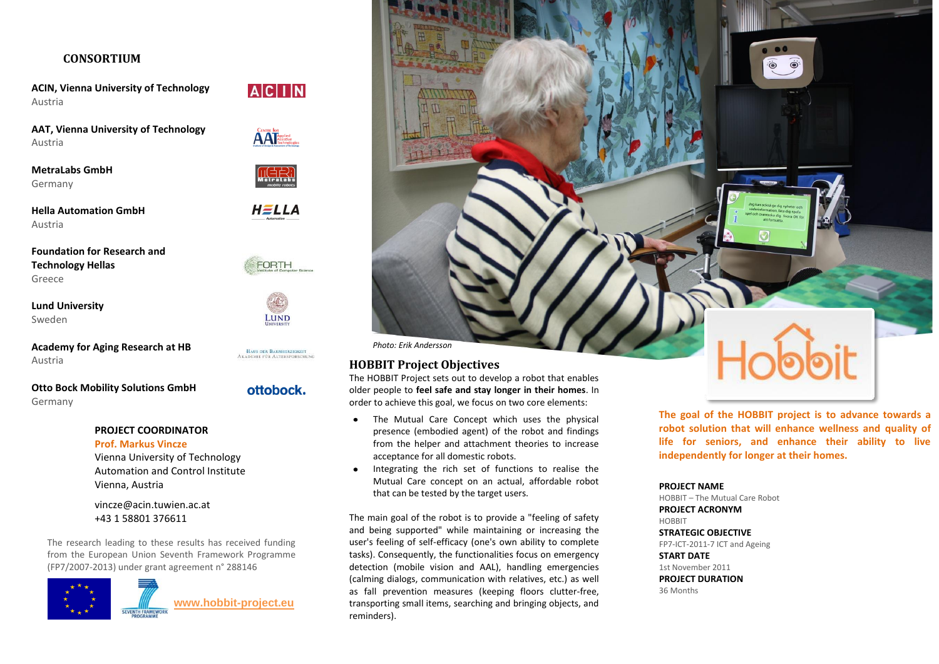#### **CONSORTIUM**

**ACIN, Vienna University of Technology** Austria

**AAT, Vienna University of Technology** Austria

**MetraLabs GmbH** Germany

**Hella Automation GmbH** Austria

**Foundation for Research and Technology Hellas** Greece

**Lund University** Sweden

**Academy for Aging Research at HB** Austria

**Otto Bock Mobility Solutions GmbH** Germany

#### **PROJECT COORDINATOR Prof. Markus Vincze**

Vienna University of Technology Automation and Control Institute Vienna, Austria

[vincze@acin.tuwien.ac.at](mailto:vincze@acin.tuwien.ac.at) +43 1 58801 376611

The research leading to these results has received funding from the European Union Seventh Framework Programme (FP7/2007-2013) under grant agreement n° 288146





**AAT** 

HELLA

 $M$  et ratable

FORTH



HAUS DER BARMHERZIGKEIT<br>AKADEMIE FÜR ALTERSFORSCHUNG

## ottobock.

*Photo: Erik Andersson*

## **HOBBIT Project Objectives**

The HOBBIT Project sets out to develop a robot that enables older people to **feel safe and stay longer in their homes**. In order to achieve this goal, we focus on two core elements:

- The Mutual Care Concept which uses the physical presence (embodied agent) of the robot and findings from the helper and attachment theories to increase acceptance for all domestic robots.
- Integrating the rich set of functions to realise the Mutual Care concept on an actual, affordable robot that can be tested by the target users.

The main goal of the robot is to provide a "feeling of safety and being supported" while maintaining or increasing the user's feeling of self-efficacy (one's own ability to complete tasks). Consequently, the functionalities focus on emergency detection (mobile vision and AAL), handling emergencies (calming dialogs, communication with relatives, etc.) as well as fall prevention measures (keeping floors clutter-free, transporting small items, searching and bringing objects, and reminders).

 $\overline{\bullet}$ 

**The goal of the HOBBIT project is to advance towards a robot solution that will enhance wellness and quality of life for seniors, and enhance their ability to live independently for longer at their homes.**

#### **PROJECT NAME**

HOBBIT – The Mutual Care Robot **PROJECT ACRONYM** HOBBIT **STRATEGIC OBJECTIVE** FP7-ICT-2011-7 ICT and Ageing **START DATE** 1st November 2011

**PROJECT DURATION**

36 Months